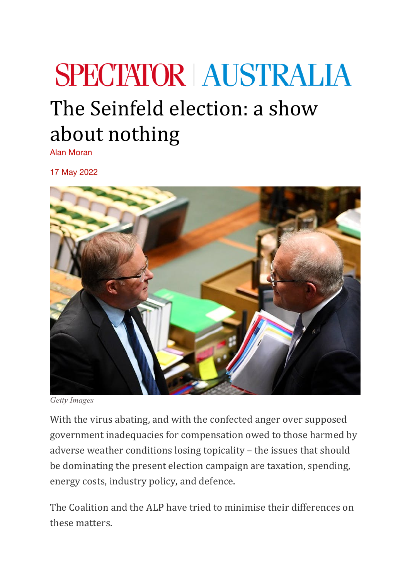## **SPECTATOR AUSTRALIA** The Seinfeld election: a show about nothing

Alan Moran

17 May 2022



*Getty Images*

With the virus abating, and with the confected anger over supposed government inadequacies for compensation owed to those harmed by adverse weather conditions losing topicality  $-$  the issues that should be dominating the present election campaign are taxation, spending, energy costs, industry policy, and defence.

The Coalition and the ALP have tried to minimise their differences on these matters.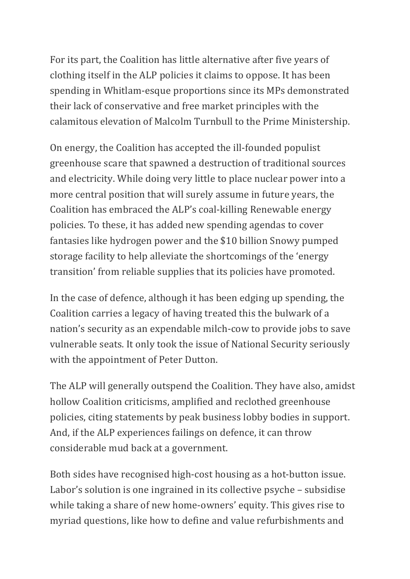For its part, the Coalition has little alternative after five years of clothing itself in the ALP policies it claims to oppose. It has been spending in Whitlam-esque proportions since its MPs demonstrated their lack of conservative and free market principles with the calamitous elevation of Malcolm Turnbull to the Prime Ministership.

On energy, the Coalition has accepted the ill-founded populist greenhouse scare that spawned a destruction of traditional sources and electricity. While doing very little to place nuclear power into a more central position that will surely assume in future years, the Coalition has embraced the ALP's coal-killing Renewable energy policies. To these, it has added new spending agendas to cover fantasies like hydrogen power and the \$10 billion Snowy pumped storage facility to help alleviate the shortcomings of the 'energy transition' from reliable supplies that its policies have promoted.

In the case of defence, although it has been edging up spending, the Coalition carries a legacy of having treated this the bulwark of a nation's security as an expendable milch-cow to provide jobs to save vulnerable seats. It only took the issue of National Security seriously with the appointment of Peter Dutton.

The ALP will generally outspend the Coalition. They have also, amidst hollow Coalition criticisms, amplified and reclothed greenhouse policies, citing statements by peak business lobby bodies in support. And, if the ALP experiences failings on defence, it can throw considerable mud back at a government.

Both sides have recognised high-cost housing as a hot-button issue. Labor's solution is one ingrained in its collective psyche – subsidise while taking a share of new home-owners' equity. This gives rise to myriad questions, like how to define and value refurbishments and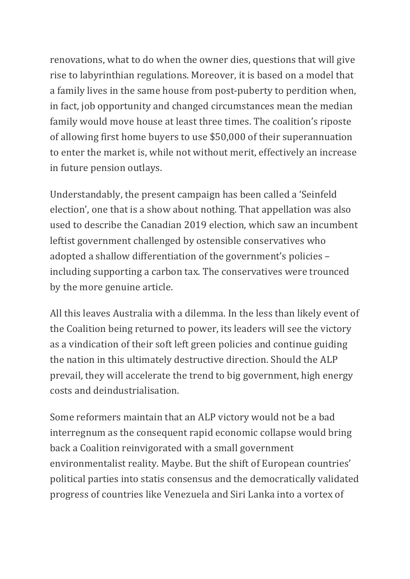renovations, what to do when the owner dies, questions that will give rise to labyrinthian regulations. Moreover, it is based on a model that a family lives in the same house from post-puberty to perdition when, in fact, job opportunity and changed circumstances mean the median family would move house at least three times. The coalition's riposte of allowing first home buyers to use \$50,000 of their superannuation to enter the market is, while not without merit, effectively an increase in future pension outlays.

Understandably, the present campaign has been called a 'Seinfeld election', one that is a show about nothing. That appellation was also used to describe the Canadian 2019 election, which saw an incumbent leftist government challenged by ostensible conservatives who adopted a shallow differentiation of the government's policies including supporting a carbon tax. The conservatives were trounced by the more genuine article.

All this leaves Australia with a dilemma. In the less than likely event of the Coalition being returned to power, its leaders will see the victory as a vindication of their soft left green policies and continue guiding the nation in this ultimately destructive direction. Should the ALP prevail, they will accelerate the trend to big government, high energy costs and deindustrialisation.

Some reformers maintain that an ALP victory would not be a bad interregnum as the consequent rapid economic collapse would bring back a Coalition reinvigorated with a small government environmentalist reality. Maybe. But the shift of European countries' political parties into statis consensus and the democratically validated progress of countries like Venezuela and Siri Lanka into a vortex of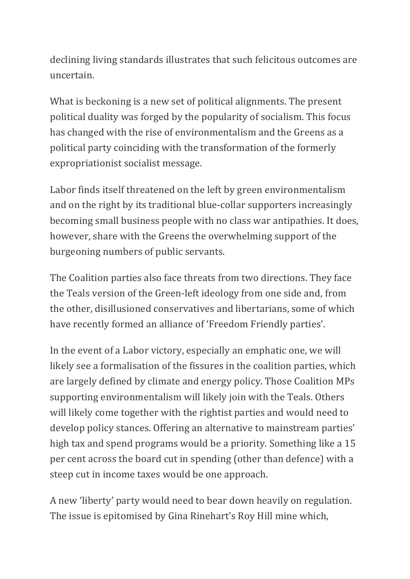declining living standards illustrates that such felicitous outcomes are uncertain.

What is beckoning is a new set of political alignments. The present political duality was forged by the popularity of socialism. This focus has changed with the rise of environmentalism and the Greens as a political party coinciding with the transformation of the formerly expropriationist socialist message.

Labor finds itself threatened on the left by green environmentalism and on the right by its traditional blue-collar supporters increasingly becoming small business people with no class war antipathies. It does, however, share with the Greens the overwhelming support of the burgeoning numbers of public servants.

The Coalition parties also face threats from two directions. They face the Teals version of the Green-left ideology from one side and, from the other, disillusioned conservatives and libertarians, some of which have recently formed an alliance of 'Freedom Friendly parties'.

In the event of a Labor victory, especially an emphatic one, we will likely see a formalisation of the fissures in the coalition parties, which are largely defined by climate and energy policy. Those Coalition MPs supporting environmentalism will likely join with the Teals. Others will likely come together with the rightist parties and would need to develop policy stances. Offering an alternative to mainstream parties' high tax and spend programs would be a priority. Something like a 15 per cent across the board cut in spending (other than defence) with a steep cut in income taxes would be one approach.

A new 'liberty' party would need to bear down heavily on regulation. The issue is epitomised by Gina Rinehart's Roy Hill mine which,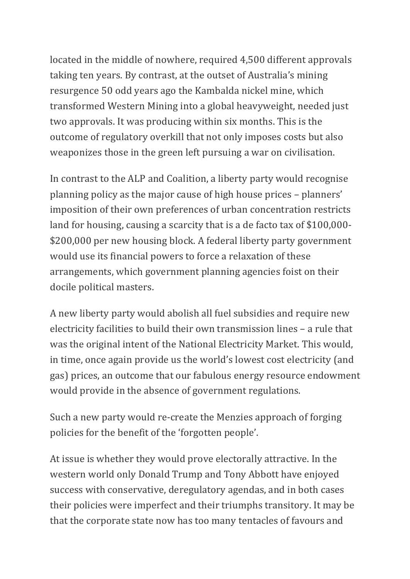located in the middle of nowhere, required 4,500 different approvals taking ten years. By contrast, at the outset of Australia's mining resurgence 50 odd years ago the Kambalda nickel mine, which transformed Western Mining into a global heavyweight, needed just two approvals. It was producing within six months. This is the outcome of regulatory overkill that not only imposes costs but also weaponizes those in the green left pursuing a war on civilisation.

In contrast to the ALP and Coalition, a liberty party would recognise planning policy as the major cause of high house prices – planners' imposition of their own preferences of urban concentration restricts land for housing, causing a scarcity that is a de facto tax of  $$100,000$ -\$200,000 per new housing block. A federal liberty party government would use its financial powers to force a relaxation of these arrangements, which government planning agencies foist on their docile political masters.

A new liberty party would abolish all fuel subsidies and require new electricity facilities to build their own transmission lines - a rule that was the original intent of the National Electricity Market. This would, in time, once again provide us the world's lowest cost electricity (and gas) prices, an outcome that our fabulous energy resource endowment would provide in the absence of government regulations.

Such a new party would re-create the Menzies approach of forging policies for the benefit of the 'forgotten people'.

At issue is whether they would prove electorally attractive. In the western world only Donald Trump and Tony Abbott have enjoyed success with conservative, deregulatory agendas, and in both cases their policies were imperfect and their triumphs transitory. It may be that the corporate state now has too many tentacles of favours and